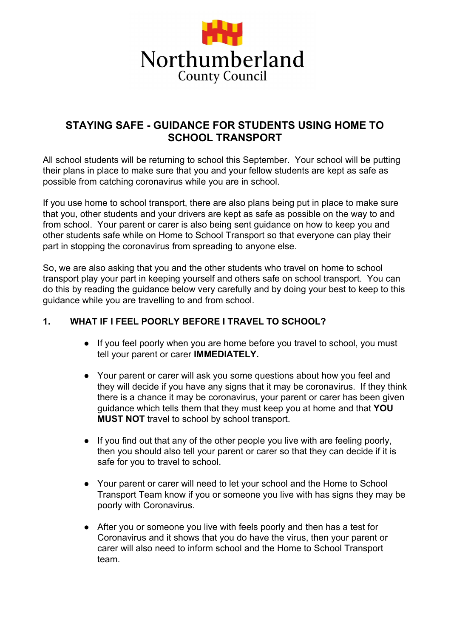

# **STAYING SAFE - GUIDANCE FOR STUDENTS USING HOME TO SCHOOL TRANSPORT**

All school students will be returning to school this September. Your school will be putting their plans in place to make sure that you and your fellow students are kept as safe as possible from catching coronavirus while you are in school.

If you use home to school transport, there are also plans being put in place to make sure that you, other students and your drivers are kept as safe as possible on the way to and from school. Your parent or carer is also being sent guidance on how to keep you and other students safe while on Home to School Transport so that everyone can play their part in stopping the coronavirus from spreading to anyone else.

So, we are also asking that you and the other students who travel on home to school transport play your part in keeping yourself and others safe on school transport. You can do this by reading the guidance below very carefully and by doing your best to keep to this guidance while you are travelling to and from school.

### **1. WHAT IF I FEEL POORLY BEFORE I TRAVEL TO SCHOOL?**

- **●** If you feel poorly when you are home before you travel to school, you must tell your parent or carer **IMMEDIATELY.**
- **●** Your parent or carer will ask you some questions about how you feel and they will decide if you have any signs that it may be coronavirus. If they think there is a chance it may be coronavirus, your parent or carer has been given guidance which tells them that they must keep you at home and that **YOU MUST NOT** travel to school by school transport.
- **●** If you find out that any of the other people you live with are feeling poorly, then you should also tell your parent or carer so that they can decide if it is safe for you to travel to school.
- **●** Your parent or carer will need to let your school and the Home to School Transport Team know if you or someone you live with has signs they may be poorly with Coronavirus.
- **●** After you or someone you live with feels poorly and then has a test for Coronavirus and it shows that you do have the virus, then your parent or carer will also need to inform school and the Home to School Transport team.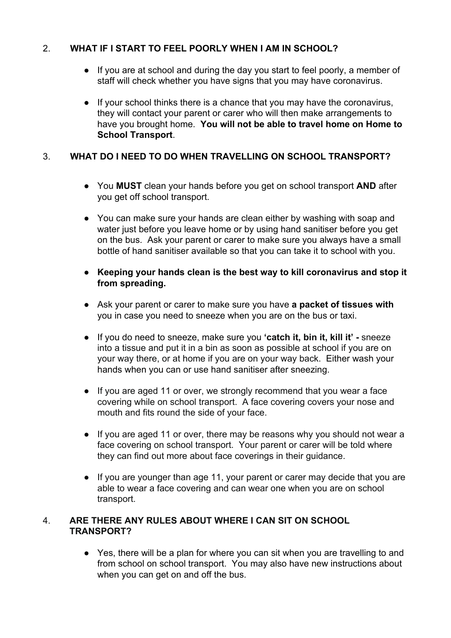### 2. **WHAT IF I START TO FEEL POORLY WHEN I AM IN SCHOOL?**

- **●** If you are at school and during the day you start to feel poorly, a member of staff will check whether you have signs that you may have coronavirus.
- **●** If your school thinks there is a chance that you may have the coronavirus, they will contact your parent or carer who will then make arrangements to have you brought home. **You will not be able to travel home on Home to School Transport**.

## 3. **WHAT DO I NEED TO DO WHEN TRAVELLING ON SCHOOL TRANSPORT?**

- You **MUST** clean your hands before you get on school transport **AND** after you get off school transport.
- You can make sure your hands are clean either by washing with soap and water just before you leave home or by using hand sanitiser before you get on the bus. Ask your parent or carer to make sure you always have a small bottle of hand sanitiser available so that you can take it to school with you.
- **Keeping your hands clean is the best way to kill coronavirus and stop it from spreading.**
- Ask your parent or carer to make sure you have **a packet of tissues with** you in case you need to sneeze when you are on the bus or taxi.
- If you do need to sneeze, make sure you **'catch it, bin it, kill it' -** sneeze into a tissue and put it in a bin as soon as possible at school if you are on your way there, or at home if you are on your way back. Either wash your hands when you can or use hand sanitiser after sneezing.
- If you are aged 11 or over, we strongly recommend that you wear a face covering while on school transport. A face covering covers your nose and mouth and fits round the side of your face.
- If you are aged 11 or over, there may be reasons why you should not wear a face covering on school transport. Your parent or carer will be told where they can find out more about face coverings in their guidance.
- If you are younger than age 11, your parent or carer may decide that you are able to wear a face covering and can wear one when you are on school transport.

#### 4. **ARE THERE ANY RULES ABOUT WHERE I CAN SIT ON SCHOOL TRANSPORT?**

● Yes, there will be a plan for where you can sit when you are travelling to and from school on school transport. You may also have new instructions about when you can get on and off the bus.